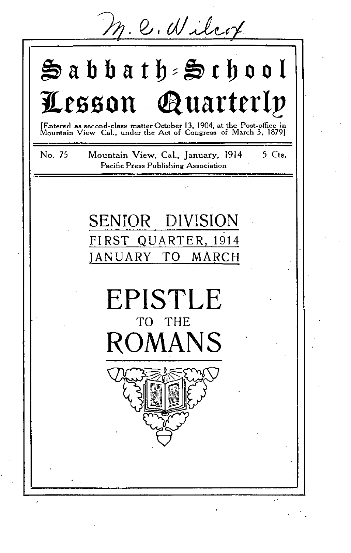M. C. Wilcox

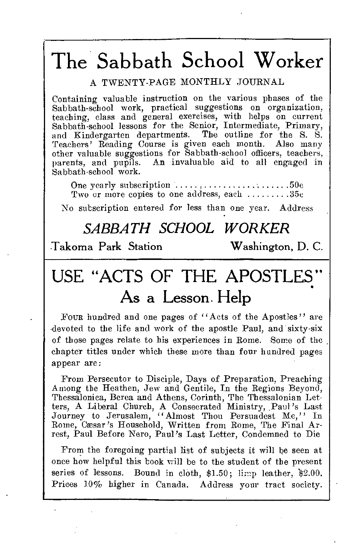# The Sabbath School Worker

# A TWENTY-PAGE MONTHLY JOURNAL

Containing valuable instruction on the various phases of the Sabbath-school work, practical suggestions on organization, teaching, class and general exercises, with helps on current Sabbath-school lessons for the Senior, Intermediate, Primary, and Kindergarten departments. The outline for the S. S. Teachers' Reading Course is given each month. Also many other valuable suggestions for Sabbath-school officers, teachers, parents, and pupils. An invaluable aid to all engaged in Sabbath-school work.

One yearly subscription  $\ldots, \ldots, \ldots, \ldots, \ldots, 50c$ Two or more copies to one address, each  $\dots \dots 35c$ 

No subscription entered for less than one year. Address

# *SABBATH SCHOOL WORKER*

Takoma Park Station Washington, D. C.

# USE "ACTS OF THE APOSTLES" As a Lesson. Help

Four hundred and one pages of "Acts of the Apostles" are •devoted to the life and work of the apostle Paul, and sixty-six of those pages relate to his experiences in Rome. Some of the chapter titles under which these more than four hundred pages appear are:

From Persecutor to Disciple, Days of Preparation, Preaching Among the Heathen, Jew and Gentile, In the Regions Beyond, Thessalonica, Berea and Athens, Corinth, The Thessalonian Let-ters, A Liberal Church, A Consecrated Ministry, Paul 's Last Journey to Jerusalem, "Almost Thou Persuadest Me," In Rome, Caesar's Household, Written from Rome, The Final Arrest, Paul Before Nero, Paul's Last Letter, Condemned to Die

From the foregoing partial list of subjects it will be seen at once how helpful this book will be to the student of the present series of lessons. Bound in cloth, \$1.50; limp leather, \$2.00. Prices 10% higher in Canada. Address your tract society.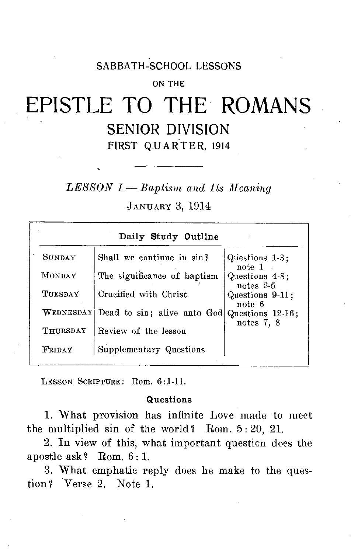# SABBATH-SCHOOL LESSONS

### ON THE

# EPISTLE TO THE ROMANS SENIOR DIVISION FIRST QUARTER, 1914

*LESSON 1* — Baptism and 1ts Meaning

JANUARY 3, 1914

|               | Daily Study Outline         |                                |
|---------------|-----------------------------|--------------------------------|
| <b>SUNDAY</b> | Shall we continue in sin?   | Questions 1-3;<br>note $1$ .   |
| MONDAY        | The significance of baptism | Questions 4-8;<br>notes $2-5$  |
| TUESDAY       | Crucified with Christ       | Questions 9-11;<br>note 6      |
| WEDNESDAY     | Dead to sin; alive unto God | Questions 12-16;<br>notes 7, 8 |
| THURSDAY      | Review of the lesson        |                                |
| FRIDAY        | Supplementary Questions     |                                |

LESSON SCRIPTURE: Rom. 6:1-11.

### Questions

1. What provision has infinite Love made to meet the multiplied sin of the world? Rom. 5 : 20, 21.

2. In view of this, what important questicn does the apostle ask? Rom. 6: 1.

3. What emphatic reply does he make to the question? Verse 2. Note 1.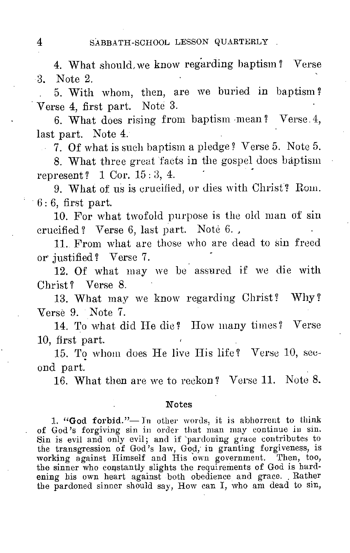4. What should, we know regarding baptism ? Verse 3. Note 2.

. 5. With whom, then, are we buried in baptism? Verse 4, first part. Note 3.

6. What does rising from baptism mean? Verse. 4, last part. Note 4.

 $\sim$  7. Of what is such baptism a pledge? Verse 5. Note 5.

8. What three great facts in the gospel does baptism represent ? 1 Cor. 15 : 3, 4.

9. What of us is crucified, or dies with Christ? Rom.  $6:6$ , first part.

10. For what twofold purpose is the old man of sin crucified? Verse 6, last part. Note 6. ,

11. From what are those who are dead to sin freed or justified ? Verse 7.

12. Of what may we be assured if we die with Christ? Verse 8.

13. What may we know regarding Christ? Why? Verse 9. Note 7.

14. To what did He die? How many times? Verse 10, first part.

15. To whom does He live His life ? Verse 10, second part.

16. What then are we to reckon? Verse 11. Note 8.

### Notes

1. "God forbid."—In other words, it is abhorrent to think of God's forgiving sin in order that man may continue in sin. Sin is evil and only evil; and if 'pardoning grace contributes to the transgression of God's law, God, in granting forgiveness, is working against Himself and His own government. Then, too, the sinner who constantly slights the requirements of God is hardening his own heart against both obedience and grace. Rather the pardoned sinner should say, How can I, who am dead to sin,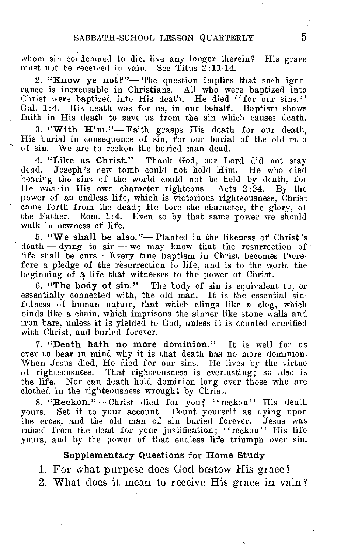whom sin condemned to die, live any longer therein? His grace must not be received in vain. See Titus  $\tilde{2}:11-14$ .

2. "Know ye not?"— The question implies that such ignorance is inexcusable in Christians. All who were baptized into Christ were baptized into His death. He died "for our sins." Gal. 1:4. His death was for us, in our behalf. Baptism shows faith in His death to save us from the sin which causes death.

3. "With Him."— Faith grasps His death for our death, His burial in consequence of sin, for our burial of the old man of sin. We are to reckon the buried man dead.

4. "Like as Christ"— Thank God, our Lord did not stay dead. Joseph's new tomb could not hold Him. He who died bearing the sins of the world could not be held by death, for<br>He was in His own character righteous. Acts 2:24. By the He was in His own character righteous. Acts  $2:24$ . power of an endless life, which is victorious righteousness, Christ came forth from the dead; He bore the character, the glory, of the Father. Rom. 1:4. Even so by that same power we should walk in newness of life.

5. "We shall be also."— Planted in the likeness of Christ's death — dying to sin — we may know that the resurrection of life shall be ours. • Every true baptism in Christ becomes therefore a pledge of the resurrection to life, and is to the world the beginning of a life that witnesses to the power of Christ.

6. "The body of sin."— The body of sin is equivalent to, or essentially connected with, the old man. It is the essential sinfulness of human nature, that which clings like a clog, which binds like a chain, which imprisons the sinner like stone walls and iron bars, unless it is yielded to God, unless it is counted crucified with Christ, and buried forever.

7. "Death hath no more dominion."— It is well for us ever to bear in mind why it is that death has no more dominion. When Jesus died, He died for our sins. He lives by the virtue of righteousness. That righteousness is everlasting; so also is the life. Nor can death hold dominion long over those who are clothed in the righteousness wrought by Christ.

8. "Reckon."-- Christ died for you; "reckon" His death yours. Set it to your account. Count yourself as dying upon the cross, and the old man of sin buried forever. Jesus was raised from the dead for your justification; "reckon" His life yours, and by the power of that endless life triumph over sin.

### Supplementary Questions for Home Study

1. For what purpose does God bestow His grace?

2. What does it mean to receive His grace in vain?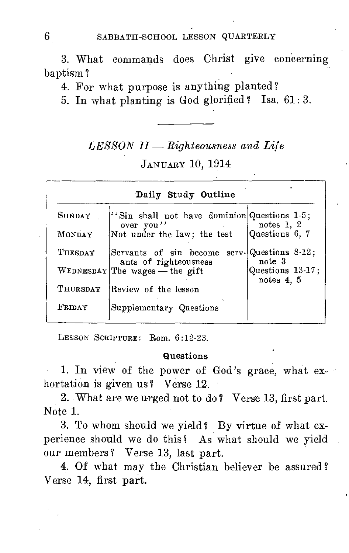3. What commands does Christ give concerning baptism ?

4. For what purpose is anything planted?

5. In what planting is God glorified ? Isa. 61: 3.

# *LESSON II — Righteousness and Life*

# JANUARY 10, 1914

|          | Daily Study Outline                                       |                                |
|----------|-----------------------------------------------------------|--------------------------------|
| SUNDAY   | "Sin shall not have dominion Questions 1-5;<br>over you'' | notes $1, 2$                   |
| MONDAY   | Not under the law; the test                               | Questions 6, 7                 |
| TUESDAY  | Servants of sin become<br>ants of righteousness           | serv-Questions 8-12;<br>note 3 |
|          | WEDNESDAY The wages — the gift                            | Questions 13-17;<br>notes 4, 5 |
| THURSDAY | Review of the lesson                                      |                                |
| FRIDAY   | Supplementary Questions                                   |                                |

LESSON SCRIPTURE: Rom. 6:12-23.

### **Questions**

1. In view of the power of God's grace, what exhortation is given us ? Verse 12.

2. What are we urged not to do? Verse 13, first part. Note 1.

3. To whom should we yield? By virtue of what experience should we do this? As what should we yield our members ? Verse 13, last part.

4. Of what may the Christian believer be assured? Verse 14, first part.

6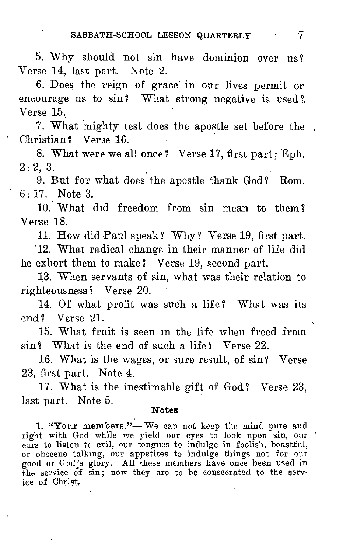5. Why should not sin have dominion over us? Verse 14, last part. Note 2.

6. Does the reign of grace in our lives permit or encourage us to sin? What strong negative is used? Verse 15.

7. What mighty test does the apostle set before the Christian? Verse 16.

8. What were we all once? Verse 17, first part; Eph.  $2:2,3.$ 

9. But for what does the apostle thank God? Rom. 6 : 17. Note 3.

10. What did freedom from sin mean to them? Verse 18.

11. How did-Paul speak? Why? Verse 19, first part.

12. What radical change in their manner of life did he exhort them to make ? Verse 19, second part.

13. When servants of sin, what was their relation to righteousness? Verse 20.

14. Of what profit was such a life? What was its end? Verse 21.

15. What fruit is seen in the life when freed from sin? What is the end of such a life? Verse 22.

16. What is the wages, or sure result, of sin? Verse 23, first part. Note 4.

17. What is the inestimable gift of God? Verse 23, last part. Note 5.

### Notes

1. "Your members."- We can not keep the mind pure and right with God while we yield our eyes to look upon sin, our ears to listen to evil, our tongues to indulge in foolish, boastful, or obscene talking, our appetites to indulge things not for our good or God's glory. All these members have once been used in the service of  $\sin$ ; now they are to be consecrated to the service of Christ,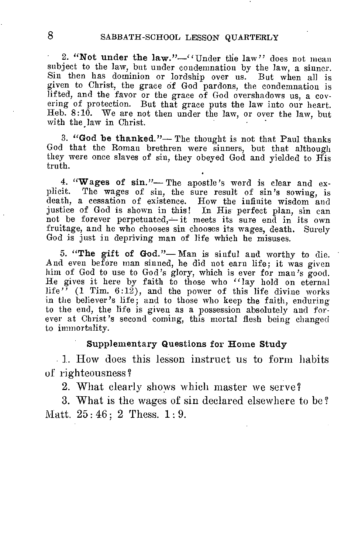2. "Not under the law."-"Under the law" does not mean subject to the law, but under condemnation by the law, a sinner. Sin then has dominion or lordship over us. But when all is given to Christ, the grace of God pardons, the condemnation is lifted, and the favor or the grace of God overshadows us, a covering of protection. But that grace puts the law into our heart. Heb. 8:10. We are not then under the law, or over the law, but with the law in Christ.

3. "God be thanked."— The thought is not that Paul thanks God that the Roman brethren were sinners, but that although they were once slaves of sin, they obeyed God and yielded to His truth.

4. "Wages of sin."-The apostle's word is clear and explicit. The wages of sin, the sure result of sin's sowing, is death, a cessation of existence. How the infinite wisdom and justice of God is shown in this! In His perfect plan, sin can not be forever perpetuated,- it meets its sure end in its own fruitage, and he who chooses sin chooses its wages, death. Surely God is just in depriving man of life which he misuses.

5. "The gift of God."— Man is sinful and worthy to die. And even before man sinned, he did not earn life; it was given him of God to use to God's glory, which is ever for man's good. He gives it here by faith to those who "lay hold on eternal life"  $(1 \text{ Tim. } 6:12)$ , and the power of this life divine works in the believer's life; and to those who keep the faith, enduring to the end, the life is given as a possession absolutely and forever at Christ's second coming, this mortal flesh being changed to immortality.

### Supplementary Questions for Home Study

. 1. How does this lesson instruct us to form habits of righteousness?

2. What clearly shows which master we serve?

3. What is the wages of sin declared elsewhere to be ? Matt. 25: 46; 2 Thess. 1: 9.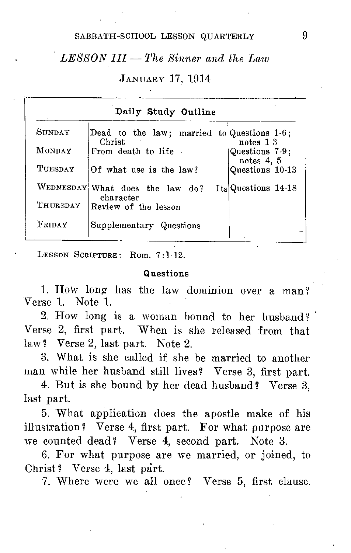SABBATH-SCHOOL LESSON QUARTERLY 9

# *LESSON III — The Sinner and the Law*

JANUARY 17, 1914

|               | Daily Study Outline                                     |                              |
|---------------|---------------------------------------------------------|------------------------------|
| <b>SUNDAY</b> | Dead to the law; married to Questions $1.6$ ;<br>Christ | notes $1-3$                  |
| <b>MONDAY</b> | From death to life.                                     | Questions 7-9;<br>notes 4, 5 |
| TUESDAY       | Of what use is the law?                                 | Questions 10-13              |
|               | WEDNESDAY What does the law do?<br>character            | Its Questions 14-18          |
| THURSDAY      | Review of the lesson                                    |                              |
| FRIDAY        | Supplementary Questions                                 |                              |

LESSON SCRIPTURE: Rom. 7:1-12.

### Questions

1. How long has the law dominion over a man? Verse 1. Note 1.

2. How long is a woman bound to her husband? • Verse 2, first part. When is she released from that law? Verse 2, last part. Note 2.

3. What is she called if she be married to another man while her husband still lives? Verse 3, first part.

4. But is she bound by her dead husband? Verse 3, last part.

5. What application does the apostle make of his illustration? Verse 4, first part. For what purpose are we counted dead? Verse 4, second part. Note 3.

6. For what purpose are we married, or joined, to Christ? Verse 4, last part.

7. Where were we all once? Verse 5, first clause.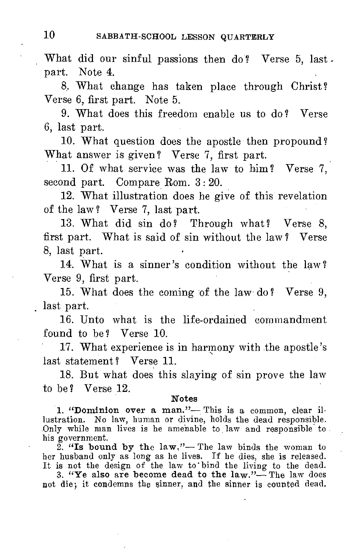What did our sinful passions then do? Verse 5, last. part. Note 4.

8. What change has taken place through Christ? Verse 6, first part. Note 5.

9. What does this freedom enable us to do? Verse 6, last part.

10. What question does the apostle then propound? What answer is given? Verse 7, first part.

11. Of what service was the law to him? Verse 7, second part. Compare Rom. 3: 20.

12. What illustration does he give of this revelation of the law ? Verse 7, last part.

13. What did sin do? Through what? Verse 8, first part. What is said of sin without the law ? Verse 8, last part.

14. What is a sinner's condition without the law ? Verse 9, first part.

15. What does the coming of the law- do ? Verse 9, last part.

16. Unto what is the life-ordained commandment found to be? Verse 10.

17. What experience is in harmony with the apostle's last statement? Verse 11.

18. But what does this slaying of sin prove the law to be? Verse 12.

#### Notes

1. "Dominion over a man."— This is a common, clear il-lustration. No law, human or divine, holds the dead responsible. Only while man lives is he amenable to law and responsible to his government.

 $2.$  "Is bound by the law."— The law binds the woman to her husband only as long as he lives. If he dies, she is released. lt is not the design of the law to' bind the living to the dead.

3. "Ye also are become dead to the  $law."$  The law does not die; it condemns the sinner, and the sinner is counted dead.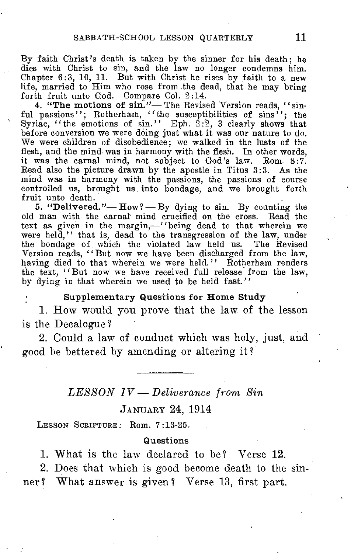By faith Christ's death is taken by the sinner for his death; he dies with Christ to sin, and the law no longer condemns him. Chapter 6:3, 10, 11. But with Christ he rises by faith to a new life, married to. Him who rose from ,the dead, that he may bring forth fruit unto God. Compare Col. 2:14.

4. "The motions of sin."-The Revised Version reads. "sinful passions"; Rotherham, "the susceptibilities of sins"; the Syriac, "the emotions of  $\sin$ ." Eph. 2:2, 3 clearly shows that before conversion we were doing just what it was our nature to do. We were children of disobedience; we walked in the lusts of the flesh, and the mind was in harmony with the flesh. In other words, it was the carnal mind, not subject to God's law. Rom. 8:7. Read also the picture drawn by the apostle in Titus 3:3. As the mind was in harmony with the passions, the passions of course controlled us, brought us into bondage, and we brought forth fruit unto death.

5. "Delivered."—  $How$ ? — By dying to sin. By counting the old man with the carnal mind crucified on the cross. Read the text as given in the margin,—"being dead to that wherein we were held." that is, dead to the transgression of the law, under the bondage of which the violated law held us. The Revised Version reads, "But now we have been discharged from the law, having died to that wherein we were held." Rotherham renders the text, "But now we have received full release from the law, by dying in that wherein we used to be held fast."

### Supplementary Questions for Home Study

1. How would you prove that the law of the lesson is the Decalogue ?

2. Could a law of conduct which was holy, just, and good be bettered by amending or altering it ?

### *LESSON lV — Deliverance from Sin*

### JANUARY 24, 1914

LESSON SCRIPTURE: Rom. 7:13-25.

### Questions

1. What is the law declared to be? Verse 12.

2. Does that which is good become death to the sin-

ner ? What answer is given ? Verse 13, first part.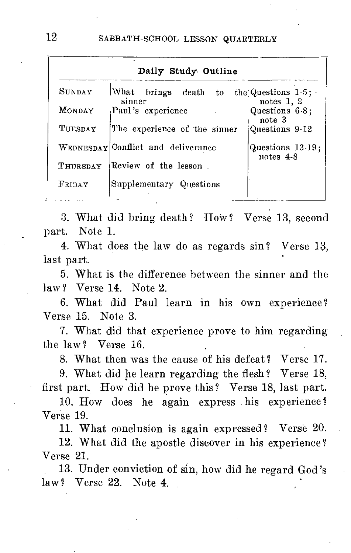| SUNDAY   | What brings death to               | the Questions $1.5$ ; |
|----------|------------------------------------|-----------------------|
|          | sinner                             | notes $1, 2$          |
| MONDAY   | Paul's experience                  | Questions 6-8:        |
|          |                                    | note 3                |
| TUESDAY  | The experience of the sinner       | Questions 9-12        |
|          | WEDNESDAY Conflict and deliverance | Questions 13-19:      |
|          |                                    | notes $4-8$           |
| THURSDAY | Review of the lesson.              |                       |
|          |                                    |                       |
| FRIDAY   | Supplementary Questions            |                       |

3. What did bring death ? How ? Verse 13, second part. Note 1..

4. What does the law do as regards sin ? Verse 13, last part.

5. What is the difference between the sinner and the law? Verse 14. Note 2.

6. What did Paul learn in his own experience? Verse 15. Note 3.

7. What did that experience prove to him regarding the law ? Verse 16.

8. What then was the cause of his defeat? Verse 17.

9. What did he learn regarding the flesh? Verse 18, first part. How did he prove this ? Verse 18, last part.

10. How does he again express his experience ? Verse 19.

11. What conclusion is again expressed? Verse 20.

12. What did the apostle discover in his experience ? Verse 21.

13. Under conviction of sin, how did he regard God's law? Verse 22. Note 4.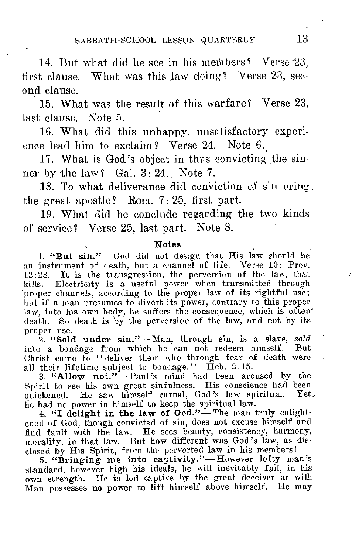14. But what did he see in his members? Verse 23, first clause. What was this law doing? Verse 23, second clause.

15. What was the result of this warfare? Verse 23, last clause. Note 5.

16. What did this unhappy, unsatisfactory experience lead him to exclaim? Verse 24. Note 6.

17. What is God's object in thus convicting the sinner by the law? Gal.  $3:24$ . Note 7.

18. To what deliverance did conviction of sin bring the great apostle? Rom. 7 : 25, first part.

19. What did he conclude regarding the two kinds of service? Verse 25, last part. Note 8.

#### Notes

1. "But sin."— God did not design that His law should be an instrument of death, but a channel of life. Verse 10; Prov. 12:28. It is the transgression, the perversion of the law, that kills. Electricity is a useful power when transmitted through Electricity is a useful power when transmitted through proper channels, according to the proper law of its rightful use; but if a man presumes to divert its power, contrary to this proper law, into his own body, he suffers the consequence, which is often' death. So death is by the perversion of the law, and not by its proper use.

2. "Sold under sin."— Man, through sin, is a slave, *sold*  into a bondage from which he can not redeem himself. But Christ came to "deliver them who through fear of death were all their lifetime subject to bondage." Heb. 2:15.

3. "Allow not."— Paul's mind had been aroused by the Spirit to see his own great sinfulness. His conscience had been quickened. He saw himself carnal, God's law spiritual. Yet.

he had no power in himself to keep the spiritual law.<br>4. "I delight in the law of God."— The man truly enlightened of God, though convicted of sin, does not excuse himself and find fault with the law. He sees beauty, consistency, harmony, morality, in that law. But how different was God's law, as dis-

closed by His Spirit, from the perverted law in his members! 5. "Bringing me into captivity."— However lofty man's standard, however high his ideals, he will inevitably fail, in his own strength. He is led captive by the great deceiver at will. Man possesses no power to lift himself above himself. He may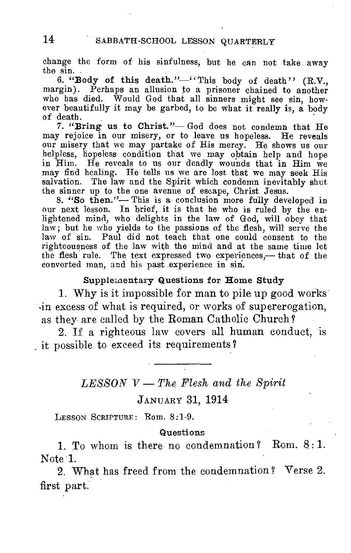change the form of his sinfulness, but he can not take away the sin.

6. "Body of this death."-"This body of death" (R.V., margin). Perhaps an allusion to a prisoner chained to another who has died. Would God that all sinners might see sin, however beautifully it may be garbed, to be what it really is, a body of death.

7. "Bring us to Christ"— God does not condemn that He may rejoice in our misery, or to leave us hopeless. He reveals our misery that we may partake of His mercy. He shows us our helpless, hopeless condition that we may obtain help and hope in Him. He reveals to us our deadly wounds that in Him we may find healing. He tells us we are lost that we may seek His salvation. The law and the Spirit which condemn inevitably shut the sinner up to the one avenue of escape, Christ Jesus.

8. "So then."— This is a conclusion more fully developed in our next lesson. In brief, it is that he who is ruled by the enlightened mind, who delights in the law of God, will obey that law; but he who yields to the passions of the flesh, will serve the law of sin. Paul did not teach that one could consent to the righteousness of the law with the mind and at the same time let the flesh rule. The text expressed two experiences,— that of the converted man, and his past experience in sin.

### Supplementary Questions for Home Study

1. Why is it impossible for man to pile up good works .in excess of what is required, or works of supererogation, as they are called by the Roman Catholic Church?

2. If a righteous law covers all human conduct, is it possible to exceed its requirements ?

# *LESSON V — The Flesh and the Spirit*  JANUARY 31, 1914

LESSON SCRIPTURE: Rom. 8:1-9.

### Questions

1. To whom is there no condemnation? Rom.  $8:1$ . Note 1.

2. What has freed from the condemnation ? Verse 2, first part.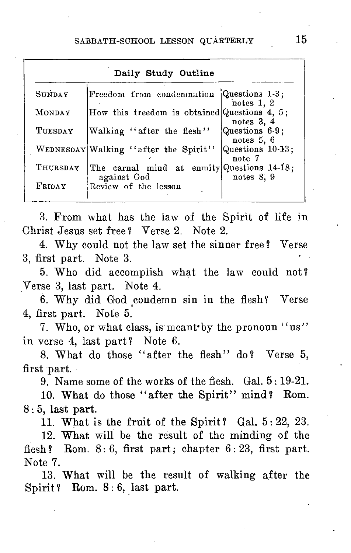| SUNDAY   | Freedom from condemnation Questions 1-3;                  |                              |
|----------|-----------------------------------------------------------|------------------------------|
| MONDAY   | How this freedom is obtained Questions 4, 5;              | notes 1. 2                   |
| TUESDAY  | Walking "after the flesh"                                 | notes 3, 4<br>Questions 6-9; |
|          |                                                           | notes 5, 6                   |
|          | WEDNESDAY Walking "after the Spirit"                      | Questions 10-13;<br>note 7   |
| THURSDAY | The carnal mind at enmity Questions 14-18;<br>against God |                              |

3. From what has the law of the Spirit of life in Christ Jesus set free ? Verse 2. Note 2.

4. Why could not the law set the sinner free ? Verse 3, first part. Note 3.

5. Who did accomplish what the law could not? Verse 3, last part. Note 4.

6. Why did God condemn sin in the flesh? Verse 4, first part. Note 5.

7. Who, or what class, is meant by the pronoun "us" in verse 4, last part? Note 6.

8. What do those "after the flesh" do? Verse 5, first part.

9. Name some of the works of the flesh. Gal. 5 : 19-21.

10. What do those "after the Spirit" mind? Rom. 8: 5, last part.

11. What is the fruit of the Spirit? Gal.  $5:22$ , 23.

12. What will be the result of the minding of the flesh? Rom.  $8:6$ , first part; chapter  $6:23$ , first part. Note 7.

13. What will be the result of walking after the Spirit? Rom. 8:6, last part.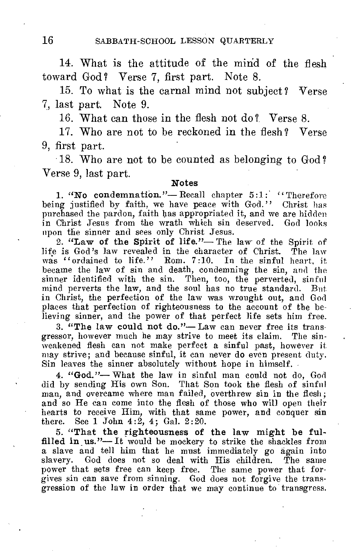14. What is the attitude of the mind of the flesh toward God? Verse 7, first part. Note 8.

15. To what is the carnal mind not subject? Verse 7, last part. Note 9.

16. What can those in the flesh not do ? Verse 8.

17. Who are not to be reckoned in the flesh? Verse 9, first part.

18. Who are not to be counted as belonging to God ? Verse 9, last part.

#### Notes

1. "No condemnation." - Recall chapter  $5:1:$  " Therefore being justified by faith, we have peace with God." Christ has purchased the pardon, faith has appropriated it, and we are hidden in Christ Jesus from the wrath which sin deserved. God looks upon the sinner and sees only Christ Jesus.

2. "Law of the Spirit of life."— The law of the Spirit of life is God's law revealed in the character of Christ. The law was "ordained to life." Rom. 7:10. In the sinful heart, it became the law of sin and death, condemning the sin, and the sinner identified with the sin. Then, too, the perverted, sinful mind perverts the law, and the soul has no true standard. But in Christ, the perfection of the law was wrought out, and God places that perfection of righteousness to the account of the believing sinner, and the power of that perfect life sets him free.

3. "The law could not do."— Law can never free its transgressor, however much he may strive to meet its claim. The sinweakened flesh can not make perfect a sinful past, however it may strive; and because sinful, it can never do even present duty. Sin leaves the sinner absolutely without hope in himself. -

4. "God."— What the law in sinful man could not do, God did by sending His own Son. That Son took the flesh of sinful man, and overcame where man failed, overthrew sin in the flesh; and so He can come into the flesh of those who will open their hearts to receive Him, with that same power, and conquer sin there. See 1 John 4:2, 4; Gal. 2:20.

5. "That the righteousness of the law might be fulfilled in us."—It would be mockery to strike the shackles from a slave and tell him that he must immediately go again into slavery. God does not so deal with His children. The same power that sets free can keep free. The same power that forgives sin can save from sinning. God does not forgive the transgression of the law in order that we may continue to transgress.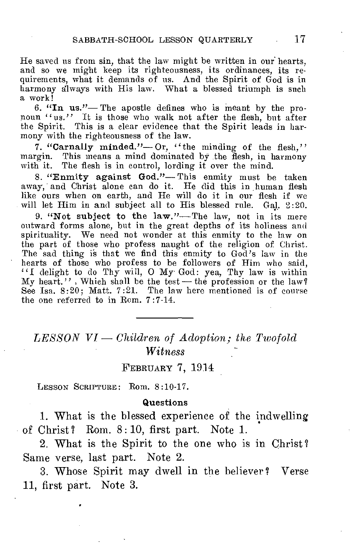He saved us from sin, that the law might be written in our hearts, and so we might keep its righteousness, its ordinances, its requirements, what it demands of us. And the Spirit of God is in harmony always with His law. What a blessed triumph is such a work!

6. "In us."— The apostle defines who is meant by the pronoun "us." It is those who walk not after the flesh, but after the Spirit. This is a clear evidence that the Spirit leads in harmony with the righteousness of the law.

7. "Carnally minded."-Or, "the minding of the flesh," margin. This means a mind dominated by the flesh, in harmony with it. The flesh is in control, lording it over the mind.

8. "Enmity against God."— This enmity must be taken away, and Christ alone can do it. He did this in human flesh like ours when on earth, and He will do it in our flesh if we will let Him in and subject all to His blessed rule. Gal. 2:20.

9. "Not subject to the law."—The law, not in its mere outward forms alone, but in the great depths of its holiness and spirituality. We need not wonder at this enmity to the law on the part of those who profess naught of the religion of Christ. The sad thing is that we find this enmity to God's law in the hearts of those who profess to be followers of Him who said, "I delight to do Thy will, O My God: yea, Thy law is within  $Mv$  heart.", Which shall be the test — the profession or the law? See Isa. 8:20; Matt. 7:21. The law here mentioned is of course the one referred to in Rom. 7:7-14.

# *LESSON VI — Children of Adoption; the Twofold Witness*

### FEBRUARY 7, 1914

LESSON SCRIPTURE: Rom. 8:10-17.

### Questions

1. What is the blessed experience of the indwelling of Christ? Rom. 8:10, first part. Note 1.

2. What is the Spirit to the one who is in Christ ? Same verse, last part. Note 2.

3. Whose Spirit may dwell in the believer? Verse 11, first part. Note 3.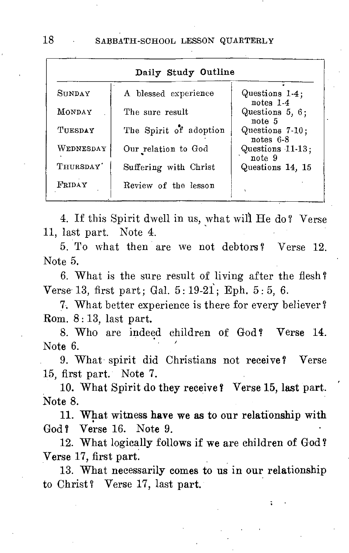|               | Daily Study Outline    |                              |
|---------------|------------------------|------------------------------|
| <b>SHNDAY</b> | A blessed experience   | Questions 1-4:<br>notes 1-4  |
| <b>MONDAY</b> | The sure result        | Questions $5, 6$ ;<br>note 5 |
| TUESDAY       | The Spirit of adoption | Questions 7-10;<br>notes 6-8 |
| WEDNESDAY     | Our relation to God    | Questions 11-13;<br>note 9   |
| THIIRSDAY'    | Suffering with Christ  | Questions 14, 15             |
| FRIDAY        | Review of the lesson   | ٠                            |

4. If this Spirit dwell in us, what will He do? Verse 11, last part. Note 4.

5. To what then are we not debtors ? Verse 12. Note 5.

6. What is the sure result of living after the flesh ? Verse 13, first part; Gal. 5 : 19-2i; Eph. 5 : 5, 6.

7. What better experience is there for every believer? Rom. 8: 13, last part.

8. Who are indeed children of God? Verse 14. Note 6.

9. What spirit did Christians not receive? Verse 15, first part. Note 7.

10. What Spirit do they receive f Verse 15, last part. Note 8.

11. What witness have we as to our relationship with God? Verse 16. Note 9.

12. What logically follows if we are children of God? Verse 17, first part.

13. What necessarily comes to us in our relationship to Christ? Verse 17, last part.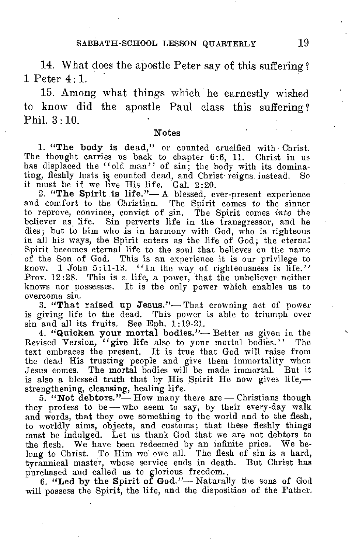14. What does the apostle Peter say of this suffering ? 1 Peter 4 : 1.

15. Among what things which he earnestly wished to know did the apostle Paul class this suffering Phil. 3 : 10.

### Notes

1. "The body is dead," or counted crucified with Christ. The thought carries us back to chapter 6:6, 11. Christ in us has displaced the "old man" of sin; the body with its dominating, fleshly lusts is counted dead, and Christ reigns. instead. So it must be if we live His life. Gal. 2:20.

2. "The Spirit is life."— A blessed, ever-present experience and comfort to the Christian. The Spirit comes *to* the sinner to reprove, convince, convict of sin. The Spirit comes *into* the believer as, life. Sin perverts life in the transgressor, and he dies; but to him who is in harmony with God, who is righteous in all his ways, the Spirit enters as the life of God; the eternal Spirit becomes eternal life to the soul that believes on the name of the Son of God. This is an experience it is our privilege to know. 1 John 5:11-13. "In the way of righteousness is life." Prov. 12:28. This is a life, a power, that the unbeliever neither knows nor possesses. It is the only power which enables us to overcome sin.

3. "That raised up Jesus."— That crowning act of power is giving life to the dead. This power is able to triumph over sin and all its fruits. See Eph. 1:19-21.

4. "Quicken your mortal bodies."— Better as given in the Revised Version, "give life also to your mortal bodies." The text embraces the present. It is true that God will raise from the dead His trusting people and give them immortality when Jesus comes. The mortal bodies will be made immortal. But it is also a blessed truth that by His Spirit He now gives life, strengthening, cleansing, healing life.

 $5.$  "Not debtors."— How many there are — Christians though they profess to be— who seem to say, by their every-day walk and words, that they owe something to the world and to the flesh, to worldly aims, objects, and customs; that these fleshly things must be indulged. Let us thank God that we are not debtors to the flesh. We have been redeemed by an infinite price. We belong to Christ. To Him we owe all. The flesh of sin is a hard, tyrannical master, whose service ends in death. But Christ has purchased and called us to glorious freedom.,

6. "Led by the Spirit of God."— Naturally the sons of God will possess the Spirit, the life, and the disposition of the Father.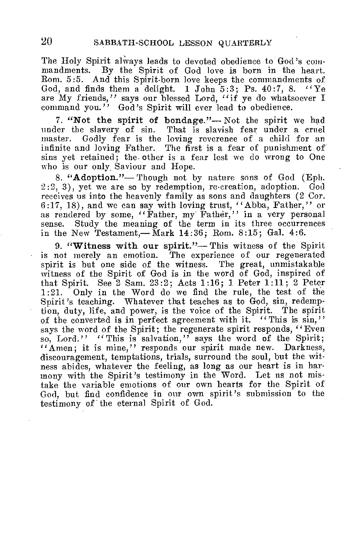The Holy Spirit always leads to devoted obedience to God's commandments. By the Spirit of God love is born in the heart. Rom. 5:5. And this Spirit-born love keeps the commandments of. God, and finds them a delight. 1 John  $5:3$ : Ps.  $40:7$ , 8.  $4Ye$ are My friends," says our blessed Lord, "if ye do whatsoever I command you." God's Spirit will ever lead to obedience.

7. "Not the spirit of bondage."— Not the spirit we had under the slavery of sin. That is slavish fear under a cruel master. Godly fear is the loving reverence of a child for an Godly fear is the loving reverence of a child for an infinite and loving Father. The first is a fear of punishment of sins yet retained; the other is a fear lest we do wrong to One who is our only Saviour and Hope.

8. "Adoption."— Though not by nature sons of God (Eph. 2:2, 3), yet we are so by redemption, re-creation, adoption. God receives us into the heavenly family as sons and daughters (2 Cor. 6:17, 18), and we can say with loving trust, "Abba, Father," or as rendered by some, "Father, my Father," in a very personal sense. Study the meaning of the term in its three occurrences Study the meaning of the term in its three occurrences in the New Testament,  $-Mark$  14:36; Rom. 8:15; Gal. 4:6.

9. "Witness with our spirit."-This witness of the Spirit is not merely an emotion. The experience of our regenerated spirit is but one side of the witness. The great, unmistakable witness of the Spirit of God is in the word of God, inspired of that Spirit. See  $2$  Sam. 23:2; Acts 1:16; 1 Peter 1:11;  $2$  Peter 1:21. Only in the Word do we find the rule, the test of the Only in the Word do we find the rule, the test of the Spirit's teaching. Whatever that teaches as to God, sin, redemption, duty, life, and power, is the voice of the Spirit. The spirit of the converted is in perfect agreement with it. "This is sin," says the word of the Spirit; the regenerate spirit responds, "Even so, Lord." "This is salvation," says the word of the Spirit; "Amen: it is mine." responds our spirit made new. Darkness, discouragement, temptations, trials, surround the soul, but the witness abides, whatever the feeling, as long as our heart is in harmony with the Spirit's testimony in the Word. Let us not mistake the variable emotions of our own hearts for the Spirit of God, but find confidence in our own spirit's submission to the testimony of the eternal Spirit of God.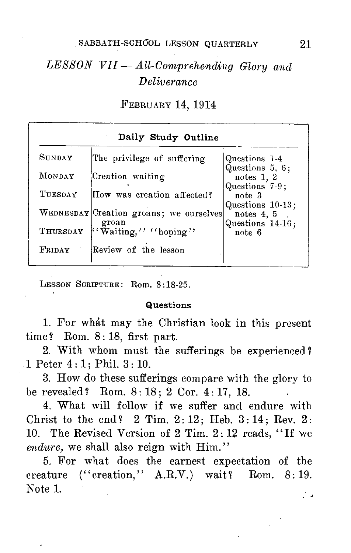# *LESSON VII — All-Comprehending Glory* and *Deliverance*

FEBRUARY 14, 1914

| Daily Study Outline |                                                  |                                                      |  |
|---------------------|--------------------------------------------------|------------------------------------------------------|--|
| <b>S</b> unday      | The privilege of suffering                       | Questions 1-4<br>Questions 5, 6;                     |  |
| MONDAY              | Creation waiting                                 | notes $1, 2$                                         |  |
| TUESDAY             | How was creation affected?                       | Questions 7-9;<br>note 3                             |  |
|                     | WEDNESDAY Creation groans; we ourselves<br>groan | Questions 10-13;<br>notes $4, 5$<br>Questions 14-16; |  |
| THURSDAY            | "Waiting," "hoping"                              | note 6                                               |  |
| FRIDAY              | Review of the lesson                             |                                                      |  |

LESSON SCRIPTURE: Rom. 8:18-25.

### Questions

1. For what may the Christian look in this present time? Rom. 8:18, first part.

2. With whom must the sufferings be experienced ? 1 Peter 4 : 1; Phil. 3 : 10.

3. How do these sufferings compare with the glory to be revealed? Rom.  $8:18:2$  Cor.  $4:17$ , 18.

4. What will follow if we suffer and endure with Christ to the end?  $2$  Tim.  $2:12$ ; Heb.  $3:14$ ; Rev.  $2:$ 10. The Revised Version of 2 Tim. 2: 12 reads, "If we *endure*, we shall also reign with Him."

5. For what does the earnest expectation of the creature  $('creation,' A.R.V.)$  wait? Rom.  $8:19$ . Note 1.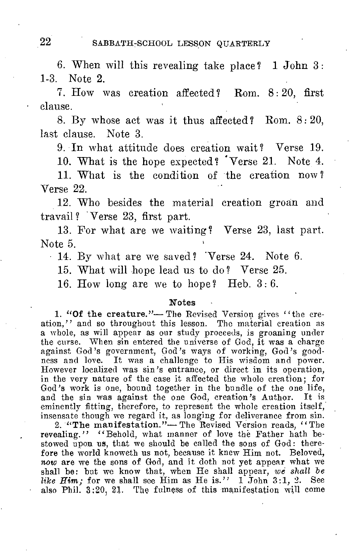6. When will this revealing take place ? 1 John 3 : 1-3. Note 2.

7. How was creation affected ? Rom. 8 : 20, first clause.

S. By whose act was it thus affected ? Rom. 8 : 20, last clause. Note 3.

9. In what attitude does creation wait? Verse 19.

10. What is the hope expected? 'Verse 21. Note 4.

11. What is the condition of the creation now ? Verse 22.

12. Who besides the material creation groan and travail? Verse 23, first part.

13. For what are we waiting? Verse 23, last part. Note 5.

• 14. By what are we saved ? 'Verse 24. Note 6.

15. What will hope lead us to do ? Verse 25.

16. How long are we to hope? Heb.  $3:6$ .

#### Notes

1. "Of the creature."— The Revised Version gives "the creation," and so throughout this lesson. The material creation as a whole, as will appear as our study proceeds, is groaning under the curse. When sin entered the universe of God, it was a charge against God's government, God's ways of working, God's goodness and love. It was a challenge to His wisdom and power. However localized was sin's entrance, or direct in its operation, in the very nature of the case it affected the whole creation; for God's work is one, bound together in the bundle of the one life, and the sin was against the one God, creation's Author. It is eminently fitting, therefore, to represent the whole creation itself, insensate though we regard it, as longing for deliverance from sin.

2. "The manifestation."— The Revised Version reads, "The revealing." "Behold, what manner of love the Father hath bestowed upon us, that we should be called the sons of God: therefore the world knoweth us not, because it knew Him not. Beloved, now are we the sons of God, and it doth not yet appear what we shall be: but we know that, when He shall appear, *we shall be like Him;* for we shall see Him as He is." 1. John 3:1, 2. See also Phil. 3;20, 21. The fulness of this manifestation will come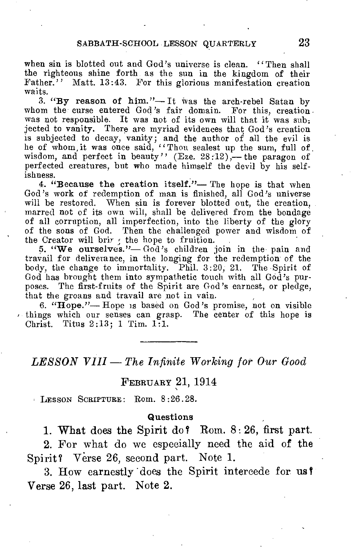when sin is blotted out and God's universe is clean. "Then shall the righteous shine forth as the sun in the kingdom of their Father." Matt. 13:43. For this glorious manifestation creation waits.

3. "By reason of him."—It was the arch-rebel Satan by whom the curse entered God's fair domain. For this, creation. was not responsible. It was not of its own will that it was subjected to vanity. There are myriad evidences that God's creation is subjected to decay, vanity; and the author of all the evil is he of whom, it was once said, "Thou sealest up the sum, full of . wisdom, and perfect in beauty" (Eze. 28:12),— the paragon of perfected creatures, but who made himself the devil by his selfishness.

4. "Because the creation itself."— The hope is that when God's work of redemption of man is finished, all God's universe will be restored. When sin is forever blotted out, the creation, marred not of its own will, shall be delivered from the bondage of all corruption, all imperfection, into the liberty of the glory of the sons of God. Then the challenged power and wisdom of the Creator will brir ; the hope to fruition.

5. "We ourselves."— God's children join in the pain and travail for deliverance, in the longing for the redemption' of the body, the change to immortality. Phil. 3:20, 21. The Spirit of God has brought them into sympathetic touch with all God's purposes. The first-fruits of the Spirit are God's earnest, or pledge, that the groans and travail are not in vain.

6. "Hope."— Hope is based on God's promise, not on visible  $\cdot$  things which our senses can grasp. The center of this hope is Christ. Titus 2:13; 1 Tim. 1:1.

*LESSON VIII — The Infinite Working for Our Good* 

### FEBRUARY 21, 1914

LESSON SCRIPTURE: Rom. 8:26.28.

#### **Questions**

1. What does the Spirit do? Rom.  $8:26$ , first part.

2. For what do we especially need the aid of the Spirit? Verse 26, second part. Note 1.

3. How earnestly does the Spirit intercede for us Verse 26, last part. Note 2.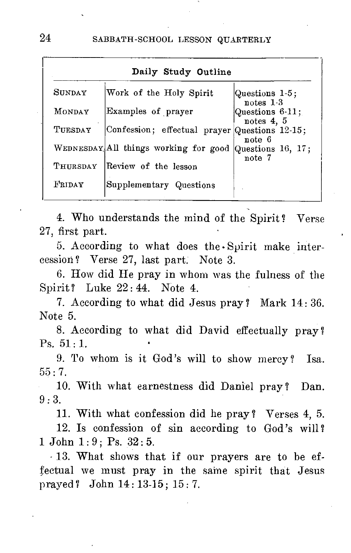| Daily Study Outline |                                                         |                                 |
|---------------------|---------------------------------------------------------|---------------------------------|
| <b>SHNDAY</b>       | Work of the Holy Spirit                                 | Questions 1-5;<br>$notes 1-3$   |
| MONDAY              | Examples of prayer                                      | Questions 6-11;<br>notes $4, 5$ |
| TUESDAY             | Confession; effectual prayer Questions 12-15;           | note 6                          |
|                     | WEDNESDAY All things working for good Questions 16, 17; | note 7                          |
| THURSDAY            | Review of the lesson                                    |                                 |
| FRIDAY              | Supplementary Questions                                 |                                 |

4. Who understands the mind of the Spirit ? Verse 27, first part.

5. According to what does the Spirit make intercession ? Verse 27, last part. Note 3.

6. How did He pray in whom was the fulness of the Spirit? Luke 22:44. Note 4.

7. According to what did Jesus pray? Mark 14: 36. Note 5.

8. According to what did David effectually pray? Ps. 51 : 1.

9. To whom is it God's will to show mercy? Isa.  $55 \cdot 7$ .

10. With what earnestness did Daniel pray? Dan.  $9:3.$ 

11. With what confession did he pray ? Verses 4, 5.

12. Is confession of sin according to God's will? 1 John 1:9; Ps. 32:5.

- 13. What shows that if our prayers are to be effectual we must pray in the same spirit that Jesus prayed ? John 14 : 13-15; 15 : 7.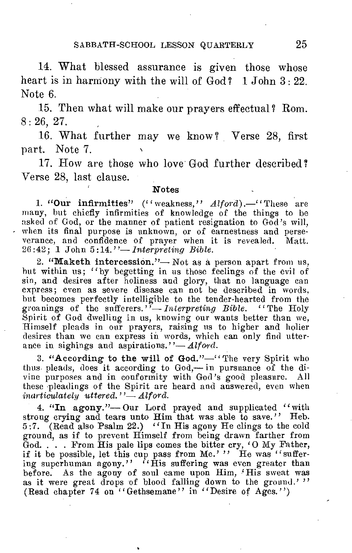14. What blessed assurance is given those whose heart is in harmony with the will of God? 1 John 3:22. Note 6.

15. Then what will make our prayers effectual ? Rom. 8 : 26, 27.

16. What further may we know ? Verse 28, first part. Note 7.

17. How are those who love God further described? Verse 28, last clause.

### Notes

1. "Our infirmities" ("weakness," Alford).—"These are many, but chiefly infirmities of knowledge of the things to be asked of God, or the manner of patient resignation to God's will, when its final purpose is unknown, or of earnestness and perseverance, and confidence of prayer when it is revealed. Matt. 26 :42; 1 John 5 :14."— *Interpreting Bible.* 

2. "Maketh intercession."— Not as a, person apart from us, hut within us; "by begetting in us those feelings of the evil of sin, and desires after holiness and glory, that no language can express; even as severe disease can not be described in words, hut becomes perfectly intelligible to the tender-hearted from the groanings of the sufferers."— *Interpreting Bible.* "The Holy Spirit of God dwelling in us, knowing our wants better than we, Himself pleads in our prayers, raising us to higher and holier desires than we can express in words, which can only find utterance in sighings and aspirations."— *Alford*.

3. "According to the will of God."-" The very Spirit who thus pleads, does it according to God,— in pursuance of the divine purposes and in conformity with God's good pleasure. All these pleadings of the Spirit are heard and answered, even when *inarticulately uttered."— Alford.* 

4. "In agony."-Our Lord prayed and supplicated "with strong crying and tears unto Him that was able to save." Heb. 5:7. (Read also Psalm 22.) "In His agony He clings to the cold ground, as if to prevent Himself from being drawn farther from  $\ddot{G}$ od. . . . From His pale lips comes the bitter cry, 'O My Father, if it be possible, let this cup pass from Me.' " He was "suffering superhuman agony." "His suffering was even greater than before. As the agony of soul came upon Him, 'His sweat was as it were great drops of blood falling down to the ground.'" (Read chapter 74 on "Gethsemane" in "Desire of Ages.")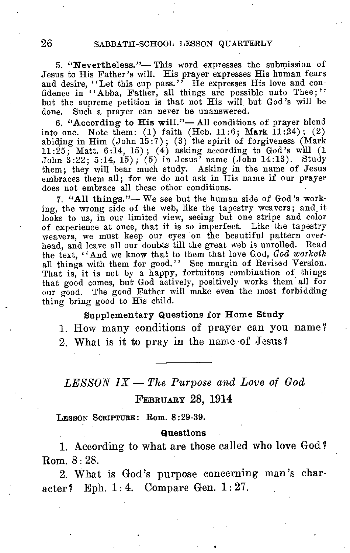### 26 SABBATH-SCHOOL LESSON QUARTERLY

5. "Nevertheless."— This word expresses the submission of Jesus to His Father's will. His prayer expresses His human fears and desire, "Let this cup pass." He expresses His love and con-<br>fidence in "Abba, Father, all things are possible unto Thee;" but the supreme petition is that not His will but God's will be done. Such a prayer can never be unanswered.

6. "According to His will."— All conditions of prayer blend into one. Note them: (1) faith (Heb. 11:6; Mark 11:24); (2) abiding in Him (John 15:7); (3) the spirit of forgiveness (Mark 11:25; Matt. 6:14, 15); (4) asking according to God's will (1 John 3:22; 5:14, 15); (5) in Jesus' name (John 14:13). Study them; they will bear much study. Asking in the name of Jesus embraces them all; for we do not ask in His name if our prayer does not embrace all these other conditions.

7. "All things."— We see but the human side of God's working, the wrong side of the web, like the tapestry weavers; and it looks to us, in our limited view, seeing but one stripe and color of experience at once, that it is so imperfect. Like the tapestry weavers, we must keep our eyes on the beautiful pattern overhead, and leave all our doubts till the great web is unrolled. Read the text, "And we know that to them that love God, *God worketh*  all things with them for good." See margin of Revised Version. That is, it is not by a happy, fortuitous combination of things that good comes, but God actively, positively works them all for our good. The good Father will make even the most forbidding thing bring good to His child.

### Supplementary Questions for Home Study

1. How many conditions of prayer can you name ? 2. What is it to pray in the name of Jesus?

# *LESSON IX — The Purpose and Love of God*  FEBRUARY 28, 1914

LESSON SCRIPTURE: Rom. 8:29-39.

#### **Questions**

1. According to what are those called who love God ? Rom. 8 : 28.

2. What is God's purpose concerning man's character? Eph. 1: 4. Compare Gen. 1: 27.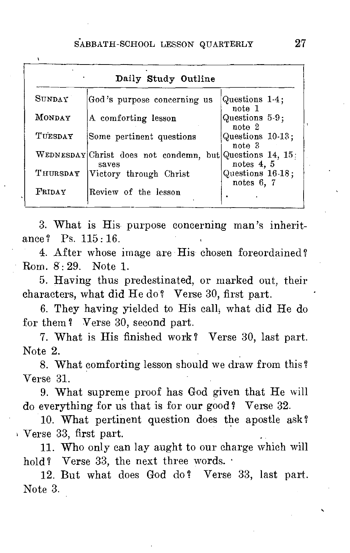| MONDAY<br>Questions 5-9;<br>A comforting lesson<br>note 2<br>TUESDAY<br>Questions 10-13;<br>Some pertinent questions<br>note <sub>3</sub><br>WEDNESDAY Christ does not condemn, but Questions 14, 15.<br>notes $4, 5$<br>saves<br>THURSDAY<br>Victory through Christ | SUNDAY | God's purpose concerning us | Questions 1-4;                   |
|----------------------------------------------------------------------------------------------------------------------------------------------------------------------------------------------------------------------------------------------------------------------|--------|-----------------------------|----------------------------------|
|                                                                                                                                                                                                                                                                      |        |                             | note 1                           |
|                                                                                                                                                                                                                                                                      |        |                             |                                  |
|                                                                                                                                                                                                                                                                      |        |                             |                                  |
|                                                                                                                                                                                                                                                                      |        |                             | Questions 16-18;<br>notes $6, 7$ |

3. What is His purpose concerning man's inheritance? Ps. 115:16.

4. After whose image are His chosen foreordained? Rom. 8•: 29. Note 1.

5. Having thus predestinated, or marked out, their characters, what did He do? Verse 30, first part.

6. They having yielded to His call, what did He do for them? Verse 30, second part.

7. What is His finished work? Verse 30, last part. Note 2.

8. What comforting lesson should we draw from this? Verse 31.

9. What supreme proof has God given that He will do everything for us that is for our good? Verse 32.

10. What pertinent question does the apostle ask? Verse 33, first part.

11. Who only can lay aught to our charge which will hold? Verse 33, the next three words.  $\cdot$ 

12. But what does God do? Verse 33, last part. Note 3.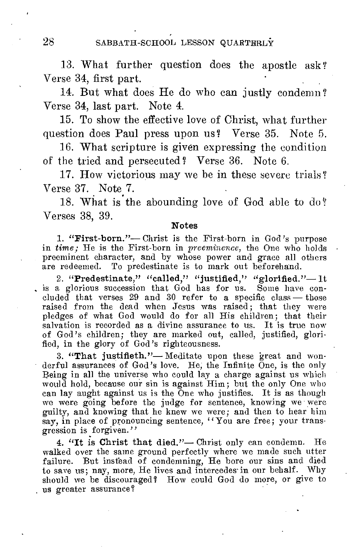28 SABBATH-SCHOOL LESSON QUARTERLY

13. What further question does the apostle ask? Verse 34, first part.

14. But what does He do who can justly condemn ? Verse 34, last part. Note 4.

15. To show the effective love of Christ, what further question does Paul press upon us? Verse 35. Note 5.

16. What scripture is given expressing the condition of the tried and persecuted'? Verse 36. Note 6.

17. How victorious may we be in these severe trials? Verse 37. Note 7.

18. What is the abounding love of God able to do? Verses 38, 39.

### Notes

1. "First-born."— Christ is the First-born in God's purpose in *time;* He is the First-born in *preeminence,* the One who holds preeminent character, and by whose power and grace all others are redeemed. To predestinate is to mark out beforehand.

2. "Predestinate," "called," "justified," "glorified."— It is a glorious succession that God has for us. Some have concluded that verses  $29$  and  $30$  refer to a specific class — those raised from the dead when Jesus was raised; that they were pledges of what God would do for all His children; that their salvation is recorded as a divine assurance to us. It is true now of God's children; they are marked out, called, justified, glorified, in the glory of God's righteousness.

3. "That justifieth."— Meditate upon these great and wonderful assurances of God's love. He, the Infinite One, is the only Being in all the universe who could lay a charge against us which would hold, because our sin is against Him; but the only One who can lay aught against us is the One who justifies. It is as though we were going before the judge for sentence, knowing we were guilty, and knowing that he knew we were; and then to hear him say, in place of pronouncing sentence, "You are free; your transgression is forgiven."

4. "It is Christ that died."— Christ only can condemn. He walked over the same ground perfectly where we made such utter failure. But instead of condemning, He bore our sins and died to save us; nay, more, He lives and intercedes in our behalf. Why should we be discouraged? How could God do more, or give to us greater assurance'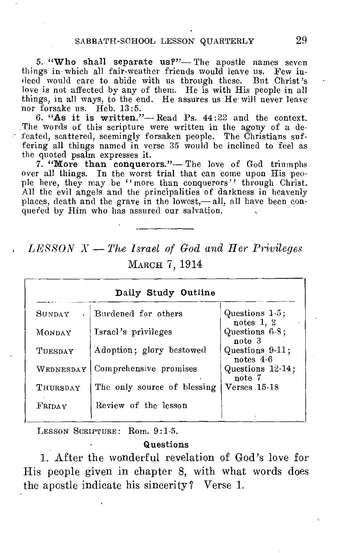5. "Who shall separate us?"— The apostle names seven things in which all fair-weather friends would leave us. Few indeed would care to abide with us through these. But Christ's love is not affected by any of them. He is with His people in all things, in all ways, to the end. He assures us He- will never leave nor forsake us. Heb. 13:5.

6. "As it is written."— Read Ps. 44:22 and the context. The words of this scripture were written in the agony of a defeated, scattered, seemingly forsaken people. The Christians suf-fering all things named in verse 35 would be inclined to feel as the quoted psalm expresses it.

7. "More than conquerors."— The love of God triumphs over all things. In the worst trial that can come upon His people here, they may be "more than conquerors" through Christ. All the evil angels and the principalities of darkness in heavenly places, death and the grave in the lowest,— all, all have been conquered by Him who has assured our salvation.

# *LESSON —The Israel of God and Her Privileges*  MARCH 7, 1914

| Daily Study Outline |                             |                                |
|---------------------|-----------------------------|--------------------------------|
| <b>SHNDAY</b>       | Burdened for others         | Questions 1-5;<br>notes $1, 2$ |
| MONDAY              | Israel's privileges         | Questions 6-8;<br>note 3       |
| TUESDAY             | Adoption; glory bestowed    | Questions 9-11;<br>notes $4-6$ |
| WEDNESDAY           | Comprehensive promises      | Questions 12-14;<br>note 7     |
| THURSDAY            | The only source of blessing | Verses 15-18                   |
| FRIDAY              | Review of the lesson        |                                |

LESSON SCRIPTURE: Rom. 9:1-5.

### Questions

1. After the wonderful revelation of God's love for His people given in chapter 8, with what words does the apostle indicate his sincerity? Verse 1.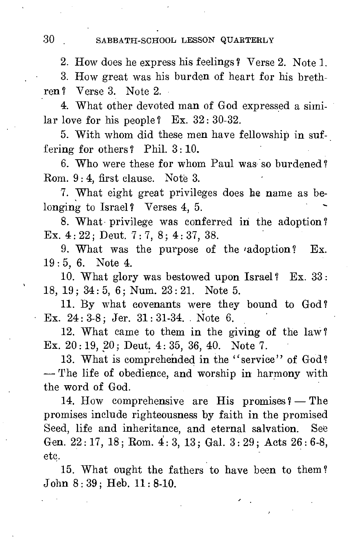## 30 SABBATH-SCHOOL LESSON QUARTERLY

2. How does he express his feelings ? Verse 2. Note 1.

3. How great was his burden of heart for his brethren ? Verse 3. Note 2.

4. What other devoted man of God expressed a similar love for his people? Ex.  $32:30-32$ .

5. With whom did these men have fellowship in suffering for others? Phil. 3: 10.

6. Who were these for whom Paul was so burdened ? Rom. 9 : 4, first clause. Note 3.

7. What eight great privileges does he name as belonging to Israel? Verses 4, 5.

8. What privilege was conferred in the adoption? Ex. 4 : 22 ; Deut. 7 : 7, 8; 4 : 37, 38.

9. What was the purpose of the 'adoption? Ex. 19: 5, 6. Note 4.

10. What glory was bestowed upon Israel ? Ex. 33 : 18, 19; 34 : 5, 6; Num. 23 : 21. Note 5.

11. By what covenants were they bound to God? Ex. 24 : 3-8; Jer. 31: 31-34. Note 6.

12. What came to them in the giving of the law? Ex.  $20:19, 20$ ; Deut.  $4:35, 36, 40$ . Note 7.

13. What is comprehended in the "service" of God? - The life of obedience, and worship in harmony with the word of God.

14. How comprehensive are His promises ? - The promises include righteousness by faith in the promised Seed, life and inheritance, and eternal salvation. See Gen. 22: 17, 18; Rom.  $4:3$ , 13; Gal. 3: 29; Acts 26: 6-8, etc.

15. What ought the fathers to have been to them ? John 8 : 39; Heb. 11: 8-10.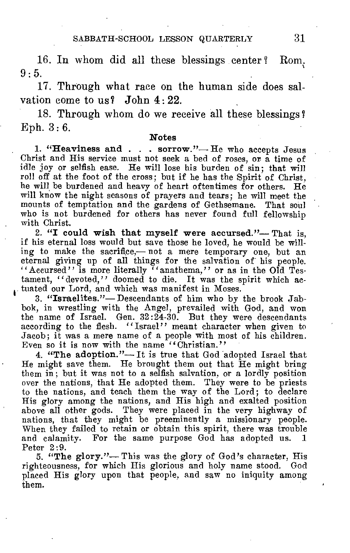16. In whom did all these blessings center ? Rom.  $9 \cdot 5$ .

17. Through what race on the human side does salvation come to us? John  $4:22$ .

18. Through whom do we receive all these blessings Eph.  $3:6$ .

### **Notes**

**1. "Heaviness and . . . sorrow."—** He who accepts Jesus Christ and His service must not seek a bed of roses, or a time of idle joy or selfish ease. He will lose his burden of sin; that will roll off at the foot of the cross; but if he has the Spirit of Christ, he will be burdened and heavy of heart oftentimes for others. He will know the night seasons of prayers and tears; he will meet the mounts of temptation and the gardens of Gethsemane. That soul who is not burdened for others has never found full fellowship with Christ.

**2. "I could wish that myself were accursed."—** That is, if his eternal loss would but save those he loved, be would be willing to make the sacrifice,— not a mere temporary one, but an eternal giving up of all things for the salvation of his people. "Accursed" is more literally "anathema," or as in the Old Testament, "devoted," doomed to die. It was the spirit which actuated our Lord, and which was manifest in Moses.

**3. "Israelites."—** Descendants of him who by the brook Jabbok, in wrestling with the Angel, prevailed with God, and won the name of Israel. Gen. 32:24-30. But they were descendants according to the flesh. "Israel" meant character when given to Jacob; it was a mere name of a people with most of his children. Even so it is now with the name ""Christian."

**4. "The adoption."—** It is true that God adopted Israel that He might save them. He brought them out that He might bring them in; but it was not to a selfish salvation, or a lordly position over the nations, that He adopted them. They were to be priests to the nations, and teach them the way of the Lord; to declare His glory among the nations, and His high and exalted position above all other gods. They were placed in the very highway of nations, that they might be preeminently a missionary people. When they failed to retain or obtain this spirit, there was trouble and calamity. For the same purpose God has adopted us. Peter 2:9.

**5. "The glory."—** This was the glory of God's character, His righteousness, for which His glorious and holy name stood. God placed His glory upon that people, and saw no iniquity among them.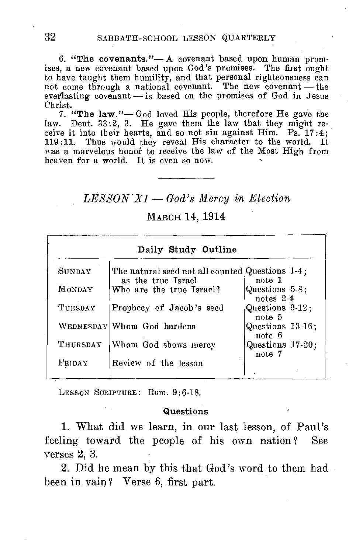6. "The covenants."— A covenant based upon human promises, a new covenant based upon God's promises. The first ought to have taught them humility, and that personal righteousness can not come through a national covenant. The new covenant — the everlasting covenant — is based on the promises of God in Jesus Christ.

7. "The law."— God loved His people, therefore He gave the law. Deut. 33:2, 3. He gave them the law that they might receive it into their hearts, and so not sin against Him.  $Ps.^{^\sim}17:4$ ; 119:11. Thus would they reveal His character to the world. It was a marvelous honor to receive the law of the Most High from heaven for a world. It is even so now.

## *LESSON' XI — God's Mercy in Election*

### MARCH 14, 1914

|          | Daily Study Outline                                                   |                               |
|----------|-----------------------------------------------------------------------|-------------------------------|
| SUNDAY   | The natural seed not all counted Questions 1-4;<br>as the true Israel | note 1                        |
| MONDAY   | Who are the true Israel?                                              | Questions 5-8;<br>notes $2-4$ |
| TUESDAY  | Prophecy of Jacob's seed                                              | Questions 9-12;<br>note 5     |
|          | WEDNESDAY Whom God hardens                                            | Questions 13-16:<br>note 6    |
| Thursday | Whom God shows mercy                                                  | Questions 17-20;<br>note 7    |
| FRIDAY   | Review of the lesson                                                  |                               |

LESSON SCRIPTURE: Rom. 9:6-18.

### Questions

1. What did we learn, in our last lesson, of Paul's feeling toward the people of his own nation? See verses 2, 3.

2. Did he mean by this that God's word to them had been in vain? Verse 6, first part.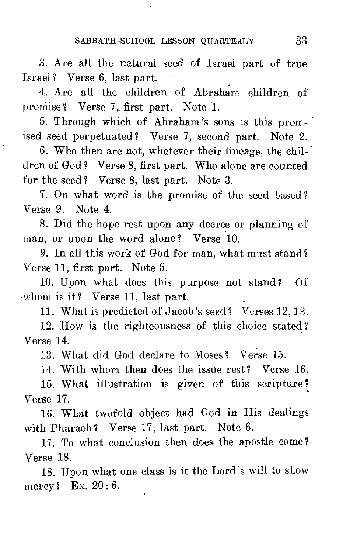3. Are all the natural seed of Israel part of true Israel ? Verse 6, last part.

4. Are all the children of Abraham children of promise? Verse 7, first part. Note 1.

5. Through which of Abraham's sons is this promised seed perpetuated ? Verse 7, second part. Note 2.

6. Who then are not, whatever their lineage, the children of God ? Verse 8, first part. Who alone are counted for the seed? Verse 8, last part. Note 3.

7. On what word is the promise of the seed based ? Verse 9. Note 4.

8. Did the hope rest upon any decree or planning of man, or upon the word alone? Verse 10.

9. In all this work of God for man, what must stand? Verse 11, first part. Note 5.

10. Upon what does this purpose not stand? Of whom is it? Verse 11, last part.

11. What is predicted of Jacob's seed? Verses 12, 13.

12. How is the righteousness of this choice stated? Verse 14.

13. What did God declare to Moses? Verse 15.

14. With whom then does the issue rest? Verse 16.

15. What illustration is given of this scripture 7 Verse 17.

16. What twofold object had God in His dealings with Pharaoh? Verse 17, last part. Note 6.

17. To what conclusion then does the apostle come? Verse 18.

18. Upon what one class is it the Lord's will to show mercy ? Ex. 20:6.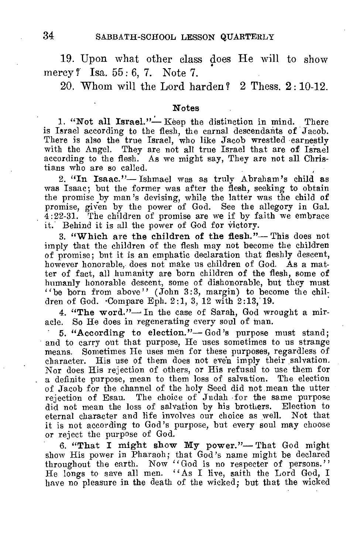19. Upon what other class does He will to show mercy ? Isa. 55: 6, 7. Note 7.

20. Whom will the Lord harden? 2 Thess. 2: 10-12.

#### **Notes**

**1. "Not all Israel."—** Keep the distinction in mind. There is Israel according to the flesh, the carnal descendants of Jacob. There is also the true Israel, who like Jacob wrestled earnestly with the Angel. They are not all true Israel that are of Israel according to the flesh. As we might say, They are not all Christians who are so called.

**2. "In Isaac."—** Ishmael was as truly Abraham's child as was Isaac; but the former was after the flesh, seeking to obtain the promise by man's devising, while the latter was the child of promise, given by the power of God. See the allegory in Gal. 4:22-31. The children of promise are we if by faith we embrace it. Behind it is all the power of God for victory.

**3. "Which are the children of the flesh."—** This does not imply that the children of the flesh may not become the children of promise; but it is an emphatic declaration that fleshly descent, however honorable, does not make us children of God. As a matter of fact, all humanity are born children of the flesh, some of humanly honorable descent, some of dishonorable, but they must "be born from above" (John 3:3, margin) to become the children of God. •Compare Eph. 2:1, 3, 12 with 2:13,'19.

**4. "The word."—** In the case of Sarah, God wrought a miracle. So He does in regenerating every soul of man.

**5. "According to election."—** God's purpose must stand; and to carry out that purpose, He uses sometimes to us strange means. Sometimes He uses men for these purposes, regardless of character. His use of them does not even imply their salvation. Nor does His rejection of others, or His refusal to use them for a definite purpose, mean to them loss of salvation. The election of Jacob for the channel of the holy Seed did not, mean the utter rejection of Esau. The choice of Judah for the same purpose did not mean the loss of salvation by his brothers. Election to eternal character and life involves our choice as well. Not that it is not according to God's purpose, but every soul may choose or reject the purpose of God.

6. "That I might show My power."—That God might show His power in Pharaoh; that God's name might be declared throughout the earth. Now "God is no respecter of persons."<br>He longs to save all men. "As I live, saith the Lord have no pleasure in the death of the wicked; but that the wicked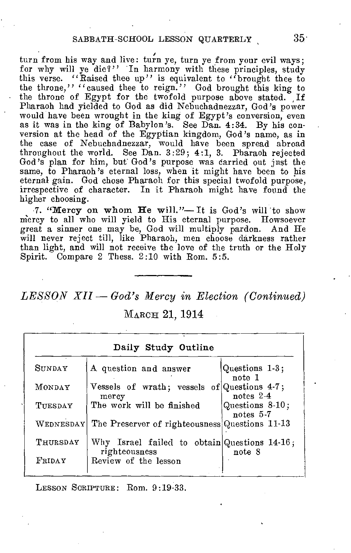turn from his way and live: turn ye, turn ye from your evil ways; for why will ye die?" In harmony with these principles, study this verse. "Raised thee up" is equivalent to "brought thee to the throne," "caused thee to reign." God brought this king to the throne of Egypt for the twofold purpose above stated. If Pharaoh had yielded to God as did Nebuchadnezzar, God's power would have been wrought in the king of Egypt's conversion, even as it was in the king of Babylon's. See Dan. 4:34. By his conversion at the head of the Egyptian kingdom, God's name, as in the case of Nebuchadnezzar, would have been spread abroad throughout the world. See Dan. 3:29; 4:1, 3. Pharaoh rejected God's plan for him, but God's purpose was carried out just the same, to Pharaoh's eternal loss, when it might have been to his eternal gain. God chose Pharaoh for this special twofold purpose, irrespective of character. In it Pharaoh might have found the higher choosing.

7. "Mercy on whom He will."— It is God's will to show mercy to all who will yield to His eternal purpose. Howsoever great a sinner one may be, God will multiply pardon. And He will never reject till, like Pharaoh, men choose darkness rather than light, and will not receive the love of the truth or the Holy Spirit. Compare 2 Thess. 2:10 with Rom. 5:5.

*LESSON XII — God's Mercy in Election (Continued)* 

MARCH 21, 1914

| Daily Study Outline |                                                               |                              |
|---------------------|---------------------------------------------------------------|------------------------------|
| SUNDAY              | A question and answer                                         | Questions 1-3;<br>note 1     |
| MONDAY              | Vessels of wrath; vessels of Questions 4-7;<br>mercy          | notes $2-4$                  |
| TUESDAY             | The work will be finished                                     | Questions 8-10;<br>notes 5-7 |
| WEDNESDAY           | The Preserver of righteousness Questions 11-13                |                              |
| THURSDAY            | Why Israel failed to obtain Questions 14.16;<br>righteousness | note 8                       |
| FRIDAY              | Review of the lesson                                          |                              |

LESSON SCRIPTURE: Rom. 9:19-33.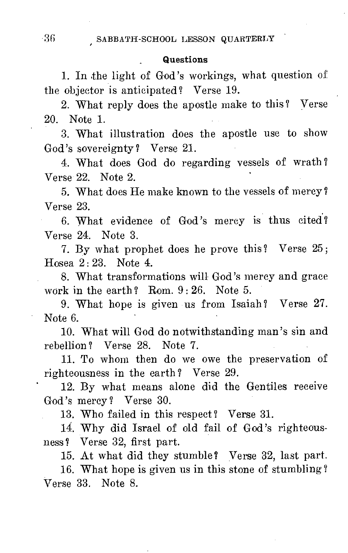### Questions

1. In the light of God's workings, what question of the objector is anticipated? Verse 19.

2. What reply does the apostle make to this? Verse 20. Note 1.

3. What illustration does the apostle use to show God's sovereignty ? Verse 21.

4. What does God do regarding vessels of wrath ? Verse 22. Note 2.

5. What does He make known to the vessels of mercy ? Verse 23.

6. What evidence of God's mercy is thus cited? Verse 24. Note 3.

7. By what prophet does he prove this? Verse 25; Hosea 2: 23. Note 4.

8. What transformations will God's mercy and grace work in the earth? Rom.  $9:26$ . Note 5.

9. What hope is given us from Isaiah? Verse 27. Note 6.

10. What will God do notwithstanding man's sin and rebellion? Verse 28. Note 7.

11. To whom then do we owe the preservation of righteousness in the earth? Verse 29.

12. By what means alone did the Gentiles receive God's mercy ? Verse 30.

13. Who failed in this respect? Verse 31.

14. Why did Israel of old fail of God's righteousness? Verse 32, first part.

15. At what did they stumble? Verse 32, last part.

16. What hope is given us in this stone of stumbling ? Verse 33. Note 8.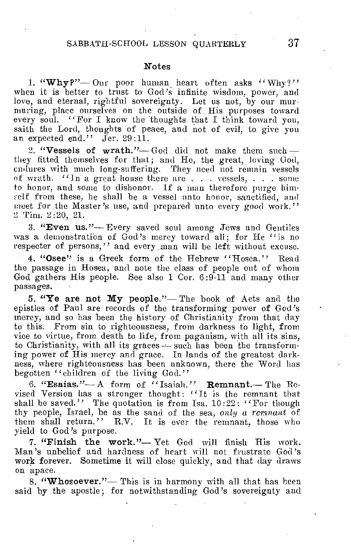### SABBATH-SCHOOL LESSON QUARTERLY 37

#### Notes

1. "Why?"-Our poor human heart often asks "Why?" when it is better to trust to God's infinite wisdom, power, and love, and eternal, rightful sovereignty. Let us not, by our murmuring, place ourselves on the outside of. His purposes toward every soul. "For I know the thoughts that I think toward you, saith the Lord, thoughts of peace, and not of evil, to give you an expected end."  $\tilde{J}$  Jer. 29:11.

2. "Vessels of wrath."-God did not make them such they fitted themselves for that; and He, the great, loving God, endures with much long-suffering. They need not remain vessels of wrath. "In a great house there are . . . vessels, . . . some to honor, and some to dishonor. If a man therefore purge him self from these, he shall be a vessel unto honor, sanctified, and meet for the Master's use, and prepared unto every good work." 2 Tim. 2:20, 21.

3. "Even us."— Every saved soul among Jews and Gentiles was a demonstration of  $\ddot{G}$ od's mercy toward all; for He "is no respecter of persons," and every man will be left without excuse.

4. "Osee" is a Greek form of the Hebrew "Hosea." Read the passage in Hosea, and note the class of people out of whom God gathers His people. See also 1 Cor. 6:9-11 and many other passages.

5. "Ye are not My people."— The book of Acts and the epistles of Paul are records of the transforming power of God's mercy, and so has been the history of Christianity from that day to this. From sin to righteousness, from darkness to light, from vice to virtue, from death to life, from paganism, with all its sins, to Christianity, with all its graces - such has been the transforming power of His mercy and grace. In lands of the greatest darkness, where righteousness has been unknown, there the Word has begotten "children of the living God."

6. "Esaias."— A form of "Isaiah." Remnant.— The Revised Version has a stronger thought: "It is the remnant that shall be saved." The quotation is from Isa. 10:22: "For though thy people,Israel, be as the sand of the sea, *only a remnant* of them shall return." R.V. It is ever the remnant, those who yield to God's purpose.

7. "Finish the work."— Yet God will finish His work. Man's unbelief and hardness of heart will not frustrate God's work forever. Sometime it will close quickly, and that day draws on apace.

8. "Whosoever."- This is in harmony with all that has been said by the apostle; for notwithstanding God's sovereignty and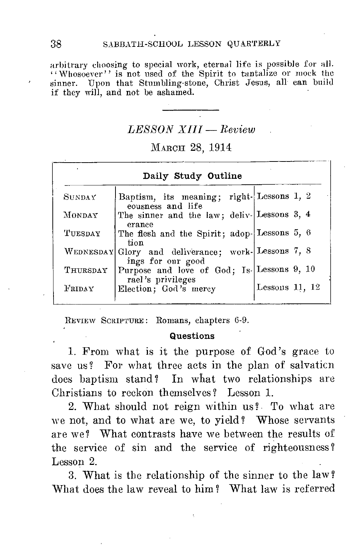arbitrary choosing to special work, eternal life is possible for all. "Whosoever" is not used of the Spirit to tantalize or mock the sinner. Upon that Stumbling-stone, Christ Jesus, all can build if they will, and not be ashamed.

# *LESSON XIII — Review .*

## MARCH 28, 1914

| Daily Study Outline |                                                                         |                  |  |
|---------------------|-------------------------------------------------------------------------|------------------|--|
| SUNDAY              | Baptism, its meaning; right-Lessons 1, 2<br>eousness and life           |                  |  |
| MONDAY              | The sinner and the law; deliv-Lessons 3, 4<br>erance                    |                  |  |
| TUESDAY             | The flesh and the Spirit; adop-Lessons 5, 6<br>tion                     |                  |  |
|                     | WEDNESDAY Glory and deliverance; work-Lessons 7, 8<br>ings for our good |                  |  |
| THURSDAY            | Purpose and love of God; Is- Lessons 9, 10<br>rael's privileges         |                  |  |
| FRIDAY              | Election; God's mercy                                                   | Lessons $11, 12$ |  |

REVIEW SCRIPTURE: Romans, chapters 6-9.

### Questions

1. From what is it the purpose of God's grace to save us? For what three acts in the plan of salvaticn does baptism stand? In what two relationships are Christians to reckon themselves ? Lesson 1.

2. What should not reign within us?. To what are we not, and to what are we, to yield? Whose servants are we? What contrasts have we between the results of the service of sin and the service of righteousness ? Lesson 2.

3. What is the relationship of the sinner to the law? What does the law reveal to him ? What law is referred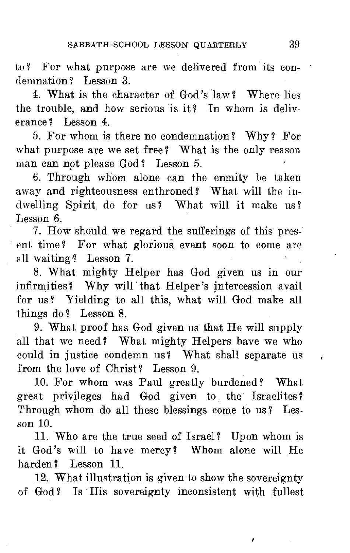to ? For what purpose are we delivered from its condemnation? Lesson 3.

4. What is the character of God's law ? Where lies the trouble, and how serious is it? In whom is deliverance ? Lesson 4.

5. For whom is there no condemnation? Why? For what purpose are we set free? What is the only reason man can not please God ? Lesson 5.

6. Through whom alone can the enmity be taken away and righteousness enthroned ? What will the indwelling Spirit do for us? What will it make us? Lesson 6.

7. How should we regard the sufferings of this present time? For what glorious, event soon to come arc all waiting? Lesson 7.

8. What mighty Helper has God given us in our infirmities? Why will that Helper's intercession avail for us ? Yielding to all this, what will God make all things do ? Lesson 8.

9. What proof has God given us that He will supply all that we need ? What mighty Helpers have we who could in justice condemn us? What shall separate us from the love of Christ? Lesson 9.

10. For whom was Paul greatly burdened? What great privileges had God given to the Israelites? Through whom do all these blessings come to us? Lesson 10.

11. Who are the true seed of Israel? Upon whom is it God's will to have mercy? Whom alone will He harden? Lesson 11.

12. What illustration is given to show the sovereignty of God? Is His sovereignty inconsistent with fullest